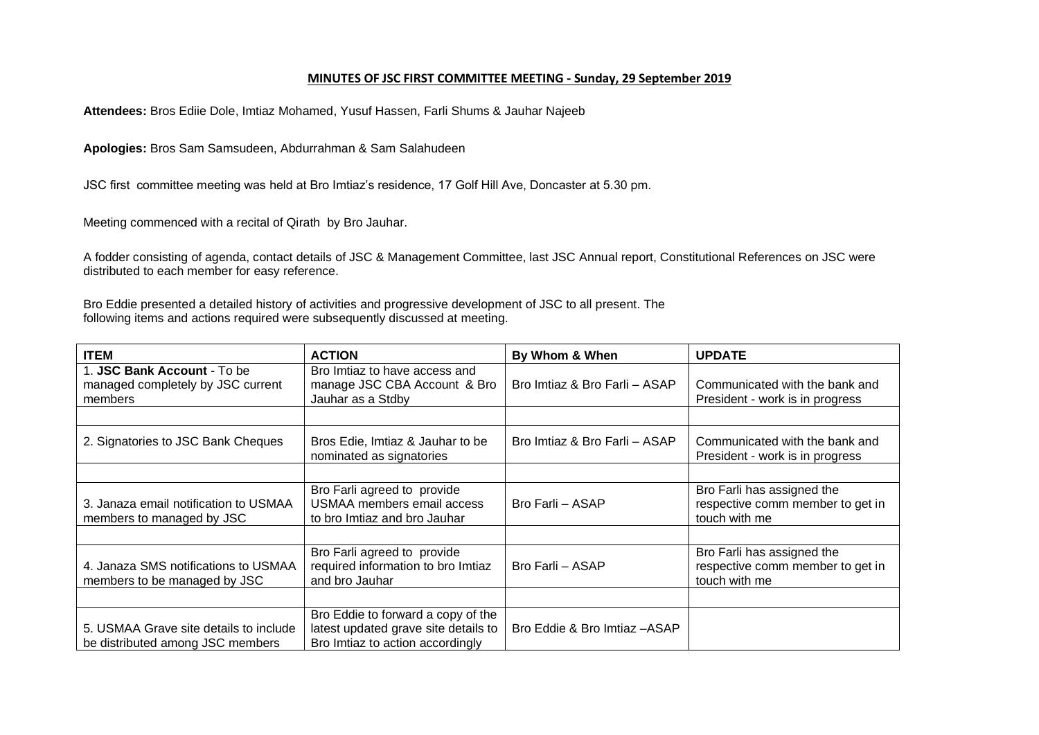## **MINUTES OF JSC FIRST COMMITTEE MEETING - Sunday, 29 September 2019**

**Attendees:** Bros Ediie Dole, Imtiaz Mohamed, Yusuf Hassen, Farli Shums & Jauhar Najeeb

**Apologies:** Bros Sam Samsudeen, Abdurrahman & Sam Salahudeen

JSC first committee meeting was held at Bro Imtiaz's residence, 17 Golf Hill Ave, Doncaster at 5.30 pm.

Meeting commenced with a recital of Qirath by Bro Jauhar.

A fodder consisting of agenda, contact details of JSC & Management Committee, last JSC Annual report, Constitutional References on JSC were distributed to each member for easy reference.

Bro Eddie presented a detailed history of activities and progressive development of JSC to all present. The following items and actions required were subsequently discussed at meeting.

| <b>ITEM</b>                                                                 | <b>ACTION</b>                                                                                                  | By Whom & When                | <b>UPDATE</b>                                                                   |
|-----------------------------------------------------------------------------|----------------------------------------------------------------------------------------------------------------|-------------------------------|---------------------------------------------------------------------------------|
| 1. JSC Bank Account - To be<br>managed completely by JSC current<br>members | Bro Imtiaz to have access and<br>manage JSC CBA Account & Bro<br>Jauhar as a Stdby                             | Bro Imtiaz & Bro Farli - ASAP | Communicated with the bank and<br>President - work is in progress               |
|                                                                             |                                                                                                                |                               |                                                                                 |
| 2. Signatories to JSC Bank Cheques                                          | Bros Edie, Imtiaz & Jauhar to be<br>nominated as signatories                                                   | Bro Imtiaz & Bro Farli - ASAP | Communicated with the bank and<br>President - work is in progress               |
|                                                                             |                                                                                                                |                               |                                                                                 |
| 3. Janaza email notification to USMAA<br>members to managed by JSC          | Bro Farli agreed to provide<br><b>USMAA members email access</b><br>to bro Imtiaz and bro Jauhar               | Bro Farli - ASAP              | Bro Farli has assigned the<br>respective comm member to get in<br>touch with me |
|                                                                             |                                                                                                                |                               |                                                                                 |
| 4. Janaza SMS notifications to USMAA<br>members to be managed by JSC        | Bro Farli agreed to provide<br>required information to bro Imtiaz<br>and bro Jauhar                            | Bro Farli - ASAP              | Bro Farli has assigned the<br>respective comm member to get in<br>touch with me |
|                                                                             |                                                                                                                |                               |                                                                                 |
| 5. USMAA Grave site details to include<br>be distributed among JSC members  | Bro Eddie to forward a copy of the<br>latest updated grave site details to<br>Bro Imtiaz to action accordingly | Bro Eddie & Bro Imtiaz - ASAP |                                                                                 |